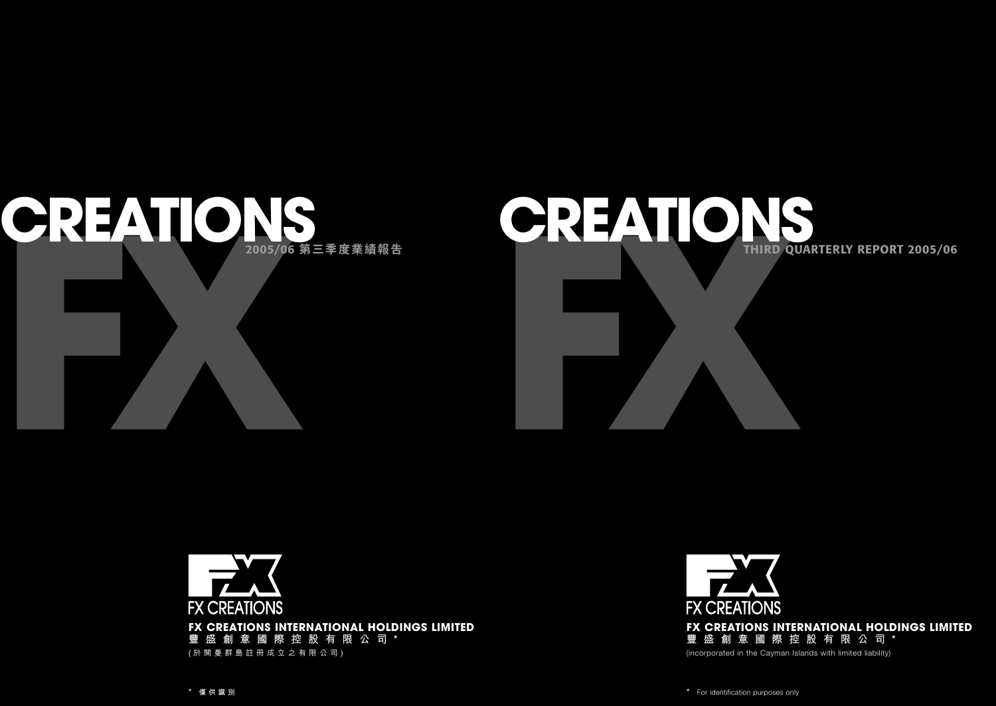# **FREATIONS THIRD QUARTERLY REPORT 2005/06**



For identification purposes only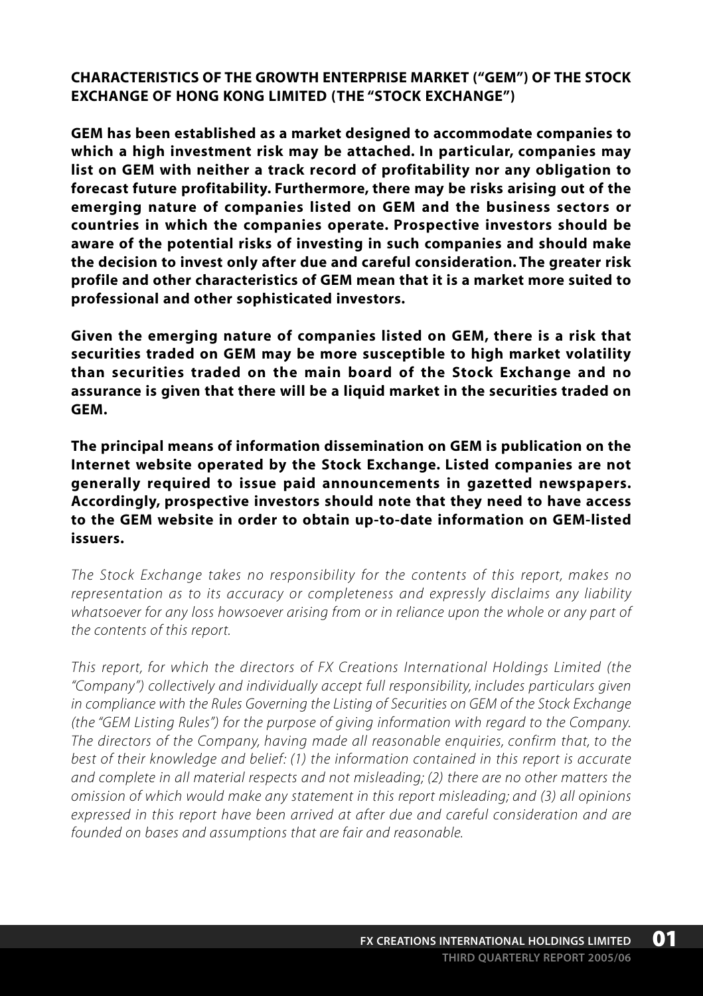**CHARACTERISTICS OF THE GROWTH ENTERPRISE MARKET ("GEM") OF THE STOCK EXCHANGE OF HONG KONG LIMITED (THE "STOCK EXCHANGE")**

**GEM has been established as a market designed to accommodate companies to which a high investment risk may be attached. In particular, companies may list on GEM with neither a track record of profitability nor any obligation to forecast future profitability. Furthermore, there may be risks arising out of the emerging nature of companies listed on GEM and the business sectors or countries in which the companies operate. Prospective investors should be aware of the potential risks of investing in such companies and should make the decision to invest only after due and careful consideration. The greater risk profile and other characteristics of GEM mean that it is a market more suited to professional and other sophisticated investors.**

**Given the emerging nature of companies listed on GEM, there is a risk that securities traded on GEM may be more susceptible to high market volatility than securities traded on the main board of the Stock Exchange and no assurance is given that there will be a liquid market in the securities traded on GEM.**

**The principal means of information dissemination on GEM is publication on the Internet website operated by the Stock Exchange. Listed companies are not generally required to issue paid announcements in gazetted newspapers. Accordingly, prospective investors should note that they need to have access to the GEM website in order to obtain up-to-date information on GEM-listed issuers.**

*The Stock Exchange takes no responsibility for the contents of this report, makes no representation as to its accuracy or completeness and expressly disclaims any liability whatsoever for any loss howsoever arising from or in reliance upon the whole or any part of the contents of this report.*

*This report, for which the directors of FX Creations International Holdings Limited (the "Company") collectively and individually accept full responsibility, includes particulars given in compliance with the Rules Governing the Listing of Securities on GEM of the Stock Exchange (the "GEM Listing Rules") for the purpose of giving information with regard to the Company. The directors of the Company, having made all reasonable enquiries, confirm that, to the best of their knowledge and belief: (1) the information contained in this report is accurate and complete in all material respects and not misleading; (2) there are no other matters the omission of which would make any statement in this report misleading; and (3) all opinions expressed in this report have been arrived at after due and careful consideration and are founded on bases and assumptions that are fair and reasonable.*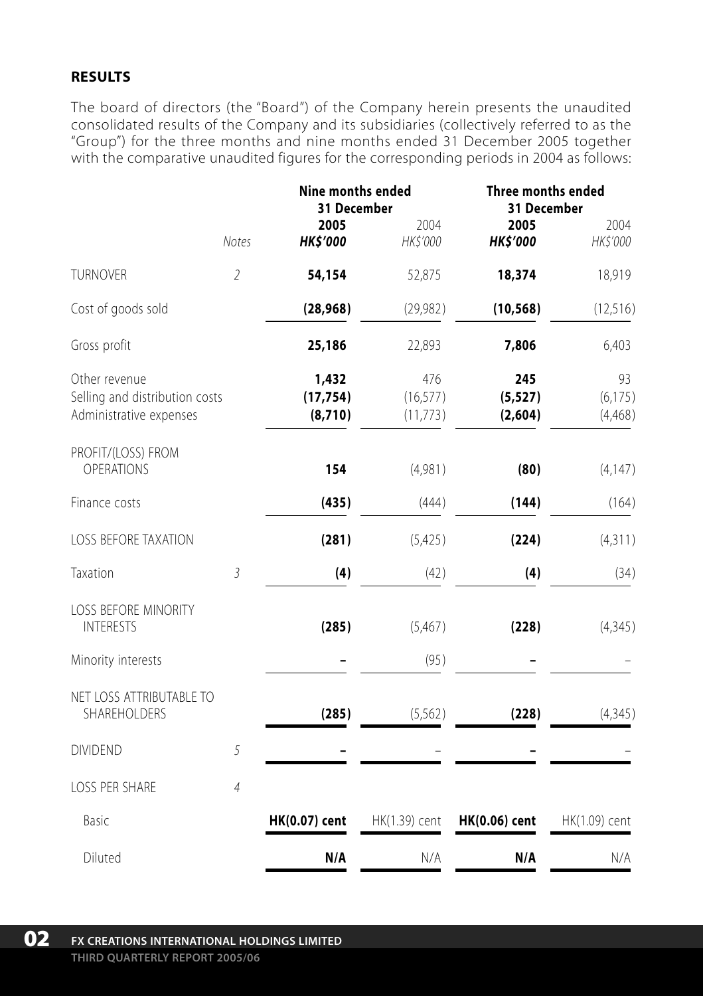## **RESULTS**

The board of directors (the "Board") of the Company herein presents the unaudited consolidated results of the Company and its subsidiaries (collectively referred to as the "Group") for the three months and nine months ended 31 December 2005 together with the comparative unaudited figures for the corresponding periods in 2004 as follows:

|                                                                            |                | Nine months ended<br>31 December |                               | Three months ended<br>31 December |                           |
|----------------------------------------------------------------------------|----------------|----------------------------------|-------------------------------|-----------------------------------|---------------------------|
|                                                                            | Notes          | 2005<br><b>HK\$'000</b>          | 2004<br>HK\$'000              | 2005<br><b>HK\$'000</b>           | 2004<br>HK\$'000          |
| <b>TURNOVER</b>                                                            | $\overline{2}$ | 54,154                           | 52,875                        | 18,374                            | 18,919                    |
| Cost of goods sold                                                         |                | (28, 968)                        | (29, 982)                     | (10, 568)                         | (12, 516)                 |
| Gross profit                                                               |                | 25,186                           | 22,893                        | 7,806                             | 6,403                     |
| Other revenue<br>Selling and distribution costs<br>Administrative expenses |                | 1,432<br>(17, 754)<br>(8,710)    | 476<br>(16, 577)<br>(11, 773) | 245<br>(5, 527)<br>(2,604)        | 93<br>(6, 175)<br>(4,468) |
| PROFIT/(LOSS) FROM<br><b>OPERATIONS</b>                                    |                | 154                              | (4,981)                       | (80)                              | (4, 147)                  |
| Finance costs                                                              |                | (435)                            | (444)                         | (144)                             | (164)                     |
| LOSS BEFORE TAXATION                                                       |                | (281)                            | (5,425)                       | (224)                             | (4, 311)                  |
| Taxation                                                                   | $\sqrt{3}$     | (4)                              | (42)                          | (4)                               | (34)                      |
| <b>LOSS BEFORE MINORITY</b><br><b>INTERESTS</b>                            |                | (285)                            | (5,467)                       | (228)                             | (4, 345)                  |
| Minority interests                                                         |                |                                  | (95)                          |                                   |                           |
| NET LOSS ATTRIBUTABLE TO<br>SHAREHOLDERS                                   |                | (285)                            | (5, 562)                      | (228)                             | (4,345)                   |
| <b>DIVIDEND</b>                                                            | 5              |                                  |                               |                                   |                           |
| LOSS PER SHARE                                                             | $\overline{4}$ |                                  |                               |                                   |                           |
| Basic                                                                      |                | <b>HK(0.07)</b> cent             | HK(1.39) cent                 | <b>HK(0.06)</b> cent              | HK(1.09) cent             |
| Diluted                                                                    |                | N/A                              | N/A                           | N/A                               | N/A                       |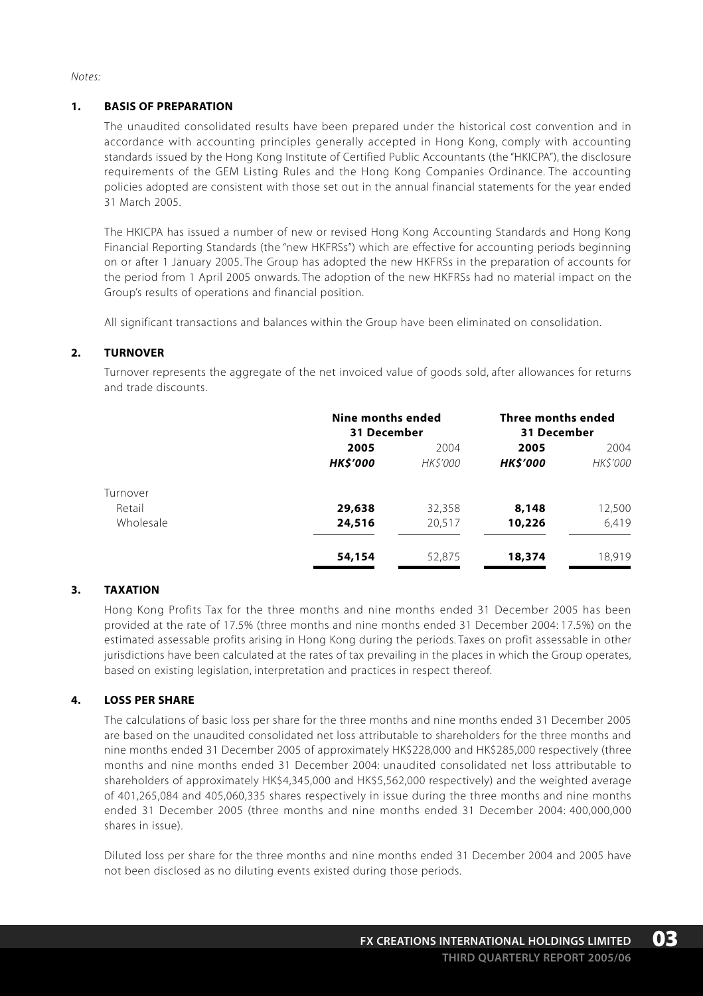*Notes:*

#### **1. BASIS OF PREPARATION**

The unaudited consolidated results have been prepared under the historical cost convention and in accordance with accounting principles generally accepted in Hong Kong, comply with accounting standards issued by the Hong Kong Institute of Certified Public Accountants (the "HKICPA"), the disclosure requirements of the GEM Listing Rules and the Hong Kong Companies Ordinance. The accounting policies adopted are consistent with those set out in the annual financial statements for the year ended 31 March 2005.

The HKICPA has issued a number of new or revised Hong Kong Accounting Standards and Hong Kong Financial Reporting Standards (the "new HKFRSs") which are effective for accounting periods beginning on or after 1 January 2005. The Group has adopted the new HKFRSs in the preparation of accounts for the period from 1 April 2005 onwards. The adoption of the new HKFRSs had no material impact on the Group's results of operations and financial position.

All significant transactions and balances within the Group have been eliminated on consolidation.

#### **2. TURNOVER**

Turnover represents the aggregate of the net invoiced value of goods sold, after allowances for returns and trade discounts.

|           | <b>Nine months ended</b><br>31 December |                | Three months ended<br>31 December |          |
|-----------|-----------------------------------------|----------------|-----------------------------------|----------|
|           | 2005                                    | 2004           | 2005                              | 2004     |
|           | <b>HK\$'000</b>                         | <b>HKS'000</b> | <b>HKS'000</b>                    | HK\$'000 |
| Turnover  |                                         |                |                                   |          |
| Retail    | 29,638                                  | 32,358         | 8,148                             | 12,500   |
| Wholesale | 24,516                                  | 20.517         | 10,226                            | 6.419    |
|           | 54,154                                  | 52,875         | 18,374                            | 18,919   |

#### **3. TAXATION**

Hong Kong Profits Tax for the three months and nine months ended 31 December 2005 has been provided at the rate of 17.5% (three months and nine months ended 31 December 2004: 17.5%) on the estimated assessable profits arising in Hong Kong during the periods. Taxes on profit assessable in other jurisdictions have been calculated at the rates of tax prevailing in the places in which the Group operates, based on existing legislation, interpretation and practices in respect thereof.

## **4. LOSS PER SHARE**

The calculations of basic loss per share for the three months and nine months ended 31 December 2005 are based on the unaudited consolidated net loss attributable to shareholders for the three months and nine months ended 31 December 2005 of approximately HK\$228,000 and HK\$285,000 respectively (three months and nine months ended 31 December 2004: unaudited consolidated net loss attributable to shareholders of approximately HK\$4,345,000 and HK\$5,562,000 respectively) and the weighted average of 401,265,084 and 405,060,335 shares respectively in issue during the three months and nine months ended 31 December 2005 (three months and nine months ended 31 December 2004: 400,000,000 shares in issue).

Diluted loss per share for the three months and nine months ended 31 December 2004 and 2005 have not been disclosed as no diluting events existed during those periods.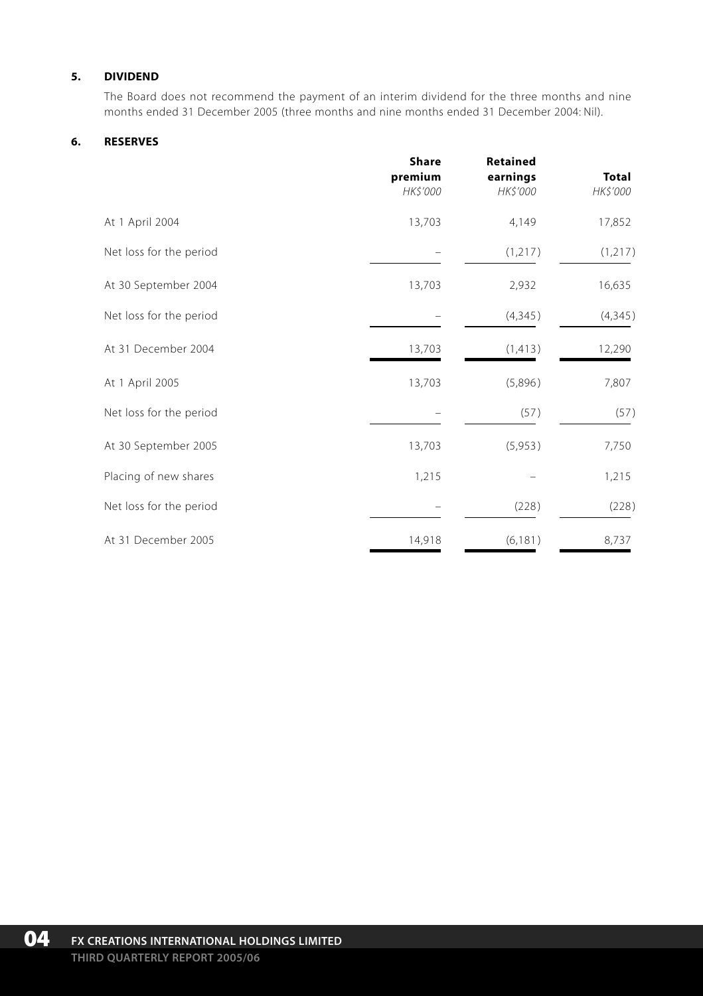### **5. DIVIDEND**

The Board does not recommend the payment of an interim dividend for the three months and nine months ended 31 December 2005 (three months and nine months ended 31 December 2004: Nil).

#### **6. RESERVES**

|                         | Share<br>premium<br>HK\$'000 | <b>Retained</b><br>earnings<br>HK\$'000 | <b>Total</b><br>HK\$'000 |
|-------------------------|------------------------------|-----------------------------------------|--------------------------|
| At 1 April 2004         | 13,703                       | 4,149                                   | 17,852                   |
| Net loss for the period |                              | (1, 217)                                | (1, 217)                 |
| At 30 September 2004    | 13,703                       | 2,932                                   | 16,635                   |
| Net loss for the period |                              | (4, 345)                                | (4, 345)                 |
| At 31 December 2004     | 13,703                       | (1, 413)                                | 12,290                   |
| At 1 April 2005         | 13,703                       | (5,896)                                 | 7,807                    |
| Net loss for the period |                              | (57)                                    | (57)                     |
| At 30 September 2005    | 13,703                       | (5,953)                                 | 7,750                    |
| Placing of new shares   | 1,215                        |                                         | 1,215                    |
| Net loss for the period |                              | (228)                                   | (228)                    |
| At 31 December 2005     | 14,918                       | (6, 181)                                | 8,737                    |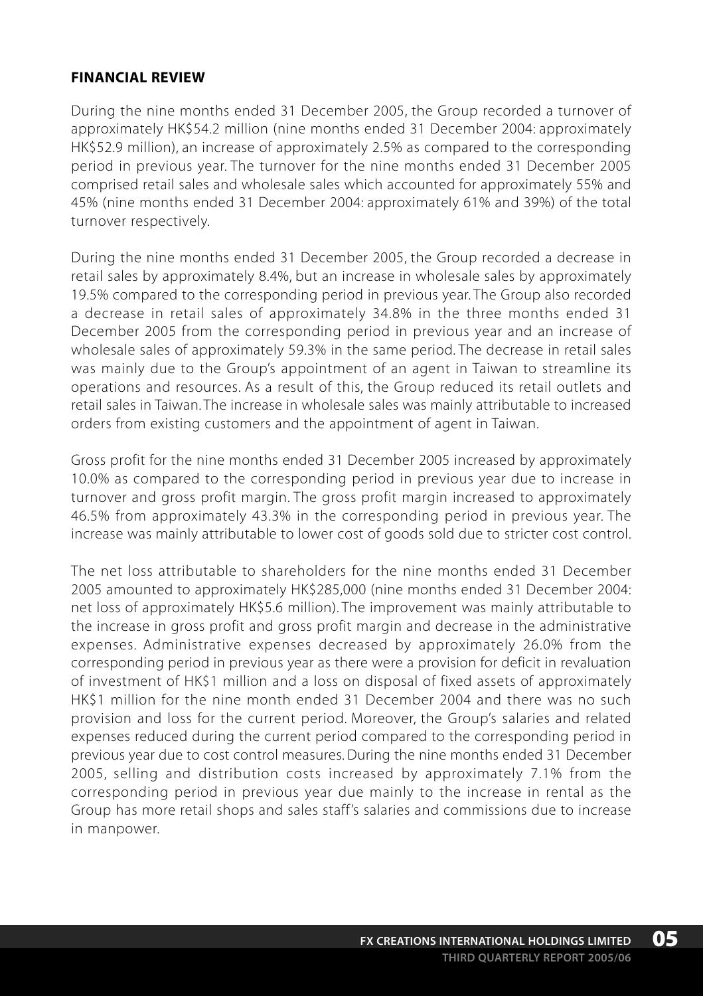# **FINANCIAL REVIEW**

During the nine months ended 31 December 2005, the Group recorded a turnover of approximately HK\$54.2 million (nine months ended 31 December 2004: approximately HK\$52.9 million), an increase of approximately 2.5% as compared to the corresponding period in previous year. The turnover for the nine months ended 31 December 2005 comprised retail sales and wholesale sales which accounted for approximately 55% and 45% (nine months ended 31 December 2004: approximately 61% and 39%) of the total turnover respectively.

During the nine months ended 31 December 2005, the Group recorded a decrease in retail sales by approximately 8.4%, but an increase in wholesale sales by approximately 19.5% compared to the corresponding period in previous year. The Group also recorded a decrease in retail sales of approximately 34.8% in the three months ended 31 December 2005 from the corresponding period in previous year and an increase of wholesale sales of approximately 59.3% in the same period. The decrease in retail sales was mainly due to the Group's appointment of an agent in Taiwan to streamline its operations and resources. As a result of this, the Group reduced its retail outlets and retail sales in Taiwan. The increase in wholesale sales was mainly attributable to increased orders from existing customers and the appointment of agent in Taiwan.

Gross profit for the nine months ended 31 December 2005 increased by approximately 10.0% as compared to the corresponding period in previous year due to increase in turnover and gross profit margin. The gross profit margin increased to approximately 46.5% from approximately 43.3% in the corresponding period in previous year. The increase was mainly attributable to lower cost of goods sold due to stricter cost control.

The net loss attributable to shareholders for the nine months ended 31 December 2005 amounted to approximately HK\$285,000 (nine months ended 31 December 2004: net loss of approximately HK\$5.6 million). The improvement was mainly attributable to the increase in gross profit and gross profit margin and decrease in the administrative expenses. Administrative expenses decreased by approximately 26.0% from the corresponding period in previous year as there were a provision for deficit in revaluation of investment of HK\$1 million and a loss on disposal of fixed assets of approximately HK\$1 million for the nine month ended 31 December 2004 and there was no such provision and loss for the current period. Moreover, the Group's salaries and related expenses reduced during the current period compared to the corresponding period in previous year due to cost control measures. During the nine months ended 31 December 2005, selling and distribution costs increased by approximately 7.1% from the corresponding period in previous year due mainly to the increase in rental as the Group has more retail shops and sales staff's salaries and commissions due to increase in manpower.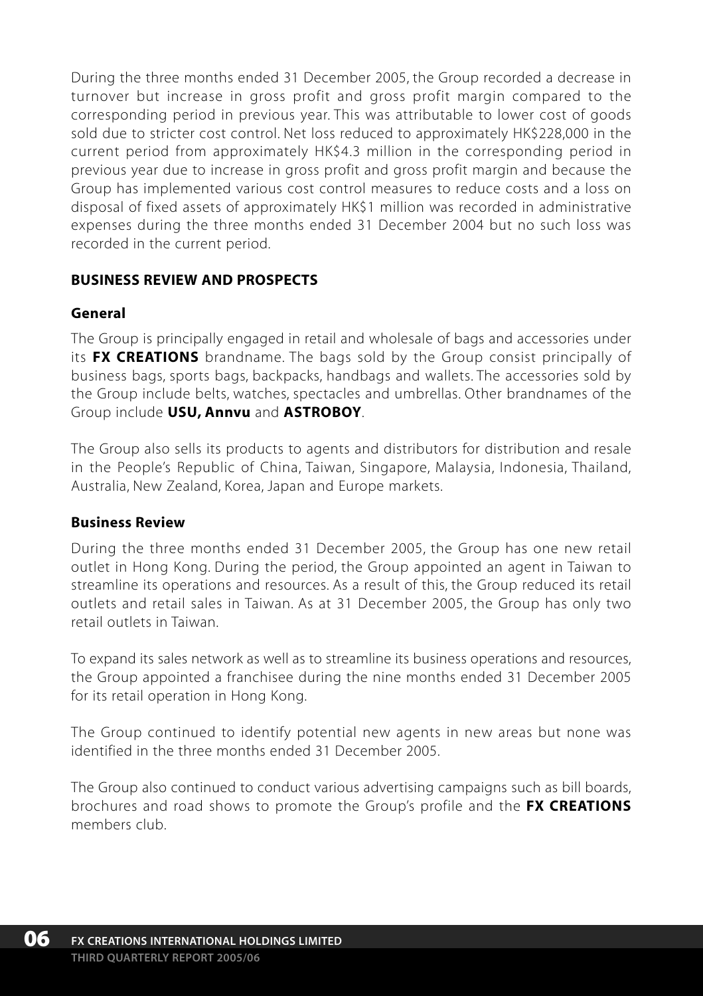During the three months ended 31 December 2005, the Group recorded a decrease in turnover but increase in gross profit and gross profit margin compared to the corresponding period in previous year. This was attributable to lower cost of goods sold due to stricter cost control. Net loss reduced to approximately HK\$228,000 in the current period from approximately HK\$4.3 million in the corresponding period in previous year due to increase in gross profit and gross profit margin and because the Group has implemented various cost control measures to reduce costs and a loss on disposal of fixed assets of approximately HK\$1 million was recorded in administrative expenses during the three months ended 31 December 2004 but no such loss was recorded in the current period.

# **BUSINESS REVIEW AND PROSPECTS**

# **General**

The Group is principally engaged in retail and wholesale of bags and accessories under its **FX CREATIONS** brandname. The bags sold by the Group consist principally of business bags, sports bags, backpacks, handbags and wallets. The accessories sold by the Group include belts, watches, spectacles and umbrellas. Other brandnames of the Group include **USU, Annvu** and **ASTROBOY**.

The Group also sells its products to agents and distributors for distribution and resale in the People's Republic of China, Taiwan, Singapore, Malaysia, Indonesia, Thailand, Australia, New Zealand, Korea, Japan and Europe markets.

## **Business Review**

During the three months ended 31 December 2005, the Group has one new retail outlet in Hong Kong. During the period, the Group appointed an agent in Taiwan to streamline its operations and resources. As a result of this, the Group reduced its retail outlets and retail sales in Taiwan. As at 31 December 2005, the Group has only two retail outlets in Taiwan.

To expand its sales network as well as to streamline its business operations and resources, the Group appointed a franchisee during the nine months ended 31 December 2005 for its retail operation in Hong Kong.

The Group continued to identify potential new agents in new areas but none was identified in the three months ended 31 December 2005.

The Group also continued to conduct various advertising campaigns such as bill boards, brochures and road shows to promote the Group's profile and the **FX CREATIONS** members club.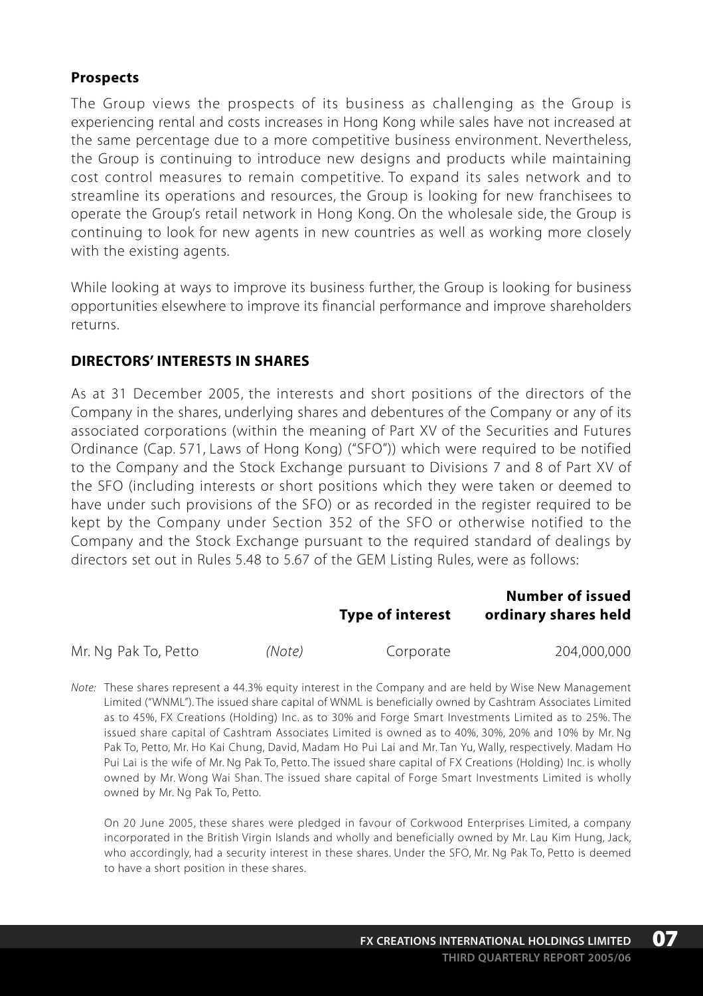## **Prospects**

The Group views the prospects of its business as challenging as the Group is experiencing rental and costs increases in Hong Kong while sales have not increased at the same percentage due to a more competitive business environment. Nevertheless, the Group is continuing to introduce new designs and products while maintaining cost control measures to remain competitive. To expand its sales network and to streamline its operations and resources, the Group is looking for new franchisees to operate the Group's retail network in Hong Kong. On the wholesale side, the Group is continuing to look for new agents in new countries as well as working more closely with the existing agents.

While looking at ways to improve its business further, the Group is looking for business opportunities elsewhere to improve its financial performance and improve shareholders returns.

## **DIRECTORS' INTERESTS IN SHARES**

As at 31 December 2005, the interests and short positions of the directors of the Company in the shares, underlying shares and debentures of the Company or any of its associated corporations (within the meaning of Part XV of the Securities and Futures Ordinance (Cap. 571, Laws of Hong Kong) ("SFO")) which were required to be notified to the Company and the Stock Exchange pursuant to Divisions 7 and 8 of Part XV of the SFO (including interests or short positions which they were taken or deemed to have under such provisions of the SFO) or as recorded in the register required to be kept by the Company under Section 352 of the SFO or otherwise notified to the Company and the Stock Exchange pursuant to the required standard of dealings by directors set out in Rules 5.48 to 5.67 of the GEM Listing Rules, were as follows:

|                      |        | <b>Type of interest</b> | Number of issued<br>ordinary shares held |
|----------------------|--------|-------------------------|------------------------------------------|
| Mr. Ng Pak To, Petto | (Note) | Corporate               | 204.000.000                              |

*Note:* These shares represent a 44.3% equity interest in the Company and are held by Wise New Management Limited ("WNML"). The issued share capital of WNML is beneficially owned by Cashtram Associates Limited as to 45%, FX Creations (Holding) Inc. as to 30% and Forge Smart Investments Limited as to 25%. The issued share capital of Cashtram Associates Limited is owned as to 40%, 30%, 20% and 10% by Mr. Ng Pak To, Petto, Mr. Ho Kai Chung, David, Madam Ho Pui Lai and Mr. Tan Yu, Wally, respectively. Madam Ho Pui Lai is the wife of Mr. Ng Pak To, Petto. The issued share capital of FX Creations (Holding) Inc. is wholly owned by Mr. Wong Wai Shan. The issued share capital of Forge Smart Investments Limited is wholly owned by Mr. Ng Pak To, Petto.

On 20 June 2005, these shares were pledged in favour of Corkwood Enterprises Limited, a company incorporated in the British Virgin Islands and wholly and beneficially owned by Mr. Lau Kim Hung, Jack, who accordingly, had a security interest in these shares. Under the SFO, Mr. Ng Pak To, Petto is deemed to have a short position in these shares.

**07**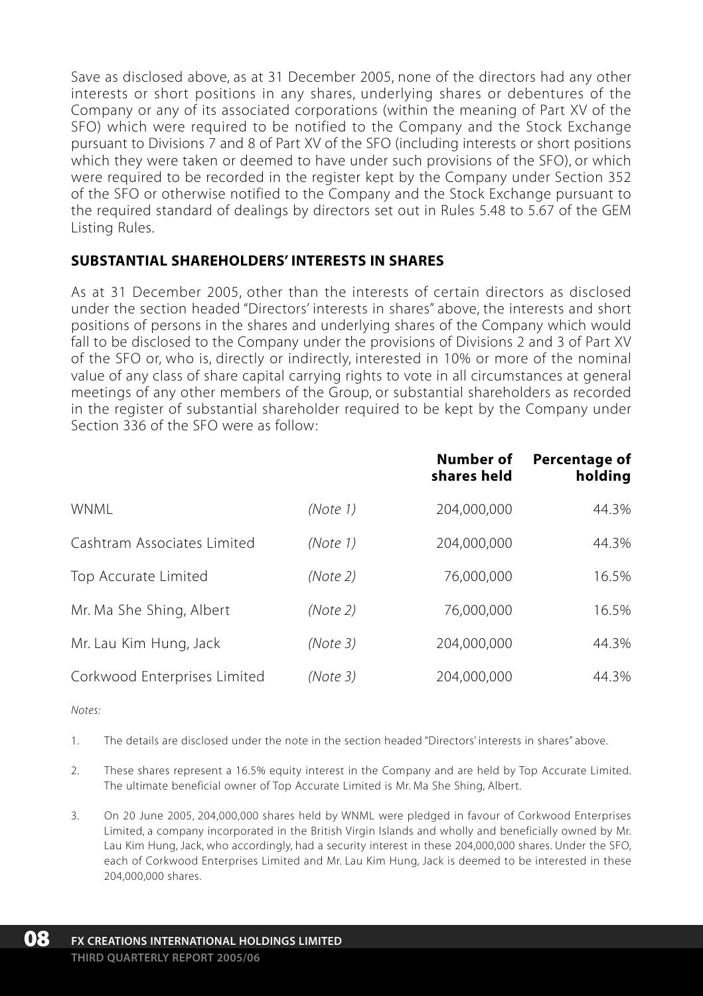Save as disclosed above, as at 31 December 2005, none of the directors had any other interests or short positions in any shares, underlying shares or debentures of the Company or any of its associated corporations (within the meaning of Part XV of the SFO) which were required to be notified to the Company and the Stock Exchange pursuant to Divisions 7 and 8 of Part XV of the SFO (including interests or short positions which they were taken or deemed to have under such provisions of the SFO), or which were required to be recorded in the register kept by the Company under Section 352 of the SFO or otherwise notified to the Company and the Stock Exchange pursuant to the required standard of dealings by directors set out in Rules 5.48 to 5.67 of the GEM Listing Rules.

# **SUBSTANTIAL SHAREHOLDERS' INTERESTS IN SHARES**

As at 31 December 2005, other than the interests of certain directors as disclosed under the section headed "Directors' interests in shares" above, the interests and short positions of persons in the shares and underlying shares of the Company which would fall to be disclosed to the Company under the provisions of Divisions 2 and 3 of Part XV of the SFO or, who is, directly or indirectly, interested in 10% or more of the nominal value of any class of share capital carrying rights to vote in all circumstances at general meetings of any other members of the Group, or substantial shareholders as recorded in the register of substantial shareholder required to be kept by the Company under Section 336 of the SFO were as follow:

|                              |          | Number of<br>shares held | Percentage of<br>holding |
|------------------------------|----------|--------------------------|--------------------------|
| <b>WNMI</b>                  | (Note 1) | 204,000,000              | 44.3%                    |
| Cashtram Associates Limited  | (Note 1) | 204,000,000              | 44.3%                    |
| Top Accurate Limited         | (Note 2) | 76,000,000               | 16.5%                    |
| Mr. Ma She Shing, Albert     | (Note 2) | 76.000.000               | 16.5%                    |
| Mr. Lau Kim Hung, Jack       | (Note3)  | 204.000.000              | 44.3%                    |
| Corkwood Enterprises Limited | (Note 3) | 204.000.000              | 44.3%                    |

*Notes:*

- 1. The details are disclosed under the note in the section headed "Directors' interests in shares" above.
- 2. These shares represent a 16.5% equity interest in the Company and are held by Top Accurate Limited. The ultimate beneficial owner of Top Accurate Limited is Mr. Ma She Shing, Albert.
- 3. On 20 June 2005, 204,000,000 shares held by WNML were pledged in favour of Corkwood Enterprises Limited, a company incorporated in the British Virgin Islands and wholly and beneficially owned by Mr. Lau Kim Hung, Jack, who accordingly, had a security interest in these 204,000,000 shares. Under the SFO, each of Corkwood Enterprises Limited and Mr. Lau Kim Hung, Jack is deemed to be interested in these 204,000,000 shares.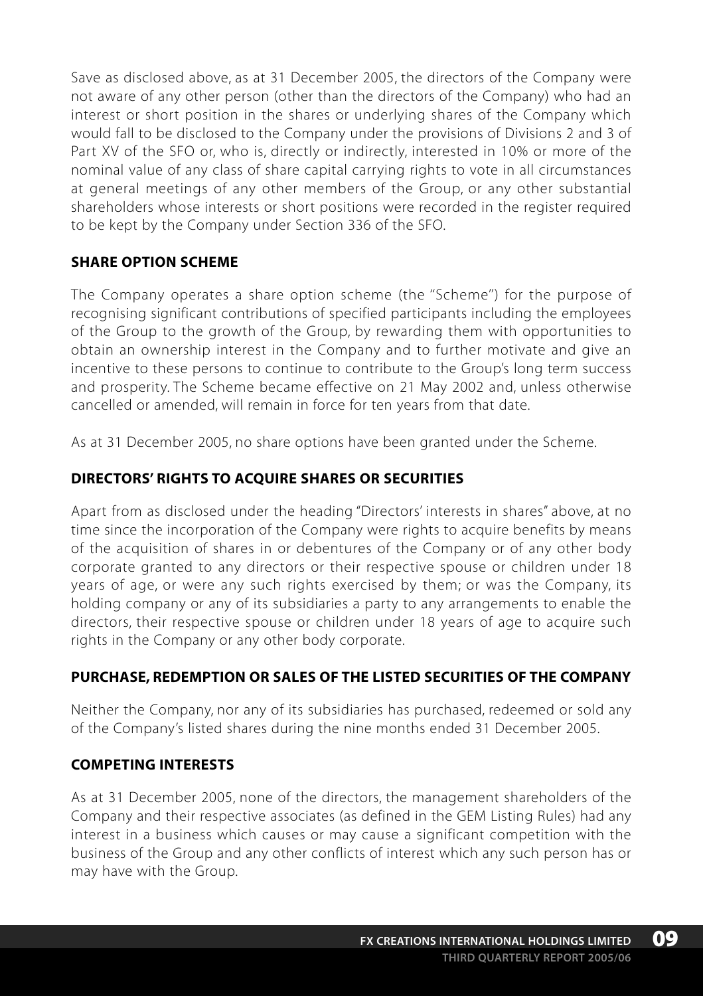Save as disclosed above, as at 31 December 2005, the directors of the Company were not aware of any other person (other than the directors of the Company) who had an interest or short position in the shares or underlying shares of the Company which would fall to be disclosed to the Company under the provisions of Divisions 2 and 3 of Part XV of the SFO or, who is, directly or indirectly, interested in 10% or more of the nominal value of any class of share capital carrying rights to vote in all circumstances at general meetings of any other members of the Group, or any other substantial shareholders whose interests or short positions were recorded in the register required to be kept by the Company under Section 336 of the SFO.

# **SHARE OPTION SCHEME**

The Company operates a share option scheme (the ''Scheme'') for the purpose of recognising significant contributions of specified participants including the employees of the Group to the growth of the Group, by rewarding them with opportunities to obtain an ownership interest in the Company and to further motivate and give an incentive to these persons to continue to contribute to the Group's long term success and prosperity. The Scheme became effective on 21 May 2002 and, unless otherwise cancelled or amended, will remain in force for ten years from that date.

As at 31 December 2005, no share options have been granted under the Scheme.

# **DIRECTORS' RIGHTS TO ACQUIRE SHARES OR SECURITIES**

Apart from as disclosed under the heading "Directors' interests in shares" above, at no time since the incorporation of the Company were rights to acquire benefits by means of the acquisition of shares in or debentures of the Company or of any other body corporate granted to any directors or their respective spouse or children under 18 years of age, or were any such rights exercised by them; or was the Company, its holding company or any of its subsidiaries a party to any arrangements to enable the directors, their respective spouse or children under 18 years of age to acquire such rights in the Company or any other body corporate.

# **PURCHASE, REDEMPTION OR SALES OF THE LISTED SECURITIES OF THE COMPANY**

Neither the Company, nor any of its subsidiaries has purchased, redeemed or sold any of the Company's listed shares during the nine months ended 31 December 2005.

# **COMPETING INTERESTS**

As at 31 December 2005, none of the directors, the management shareholders of the Company and their respective associates (as defined in the GEM Listing Rules) had any interest in a business which causes or may cause a significant competition with the business of the Group and any other conflicts of interest which any such person has or may have with the Group.